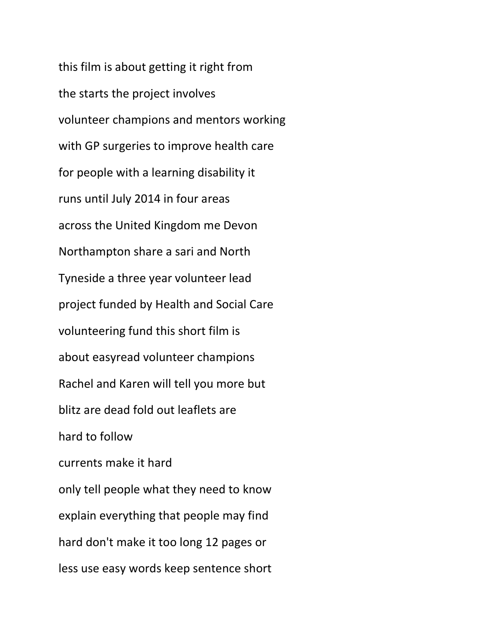this film is about getting it right from the starts the project involves volunteer champions and mentors working with GP surgeries to improve health care for people with a learning disability it runs until July 2014 in four areas across the United Kingdom me Devon Northampton share a sari and North Tyneside a three year volunteer lead project funded by Health and Social Care volunteering fund this short film is about easyread volunteer champions Rachel and Karen will tell you more but blitz are dead fold out leaflets are hard to follow currents make it hard only tell people what they need to know explain everything that people may find hard don't make it too long 12 pages or less use easy words keep sentence short